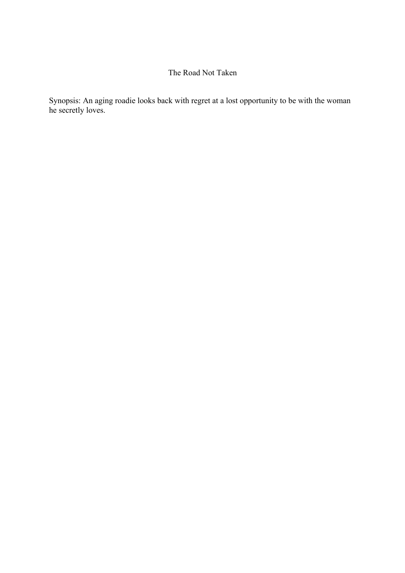## The Road Not Taken

Synopsis: An aging roadie looks back with regret at a lost opportunity to be with the woman he secretly loves.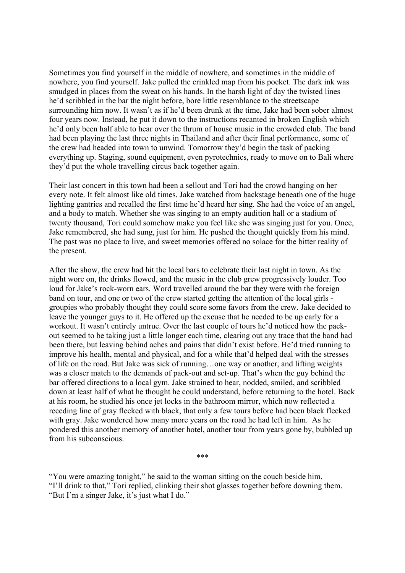Sometimes you find yourself in the middle of nowhere, and sometimes in the middle of nowhere, you find yourself. Jake pulled the crinkled map from his pocket. The dark ink was smudged in places from the sweat on his hands. In the harsh light of day the twisted lines he'd scribbled in the bar the night before, bore little resemblance to the streetscape surrounding him now. It wasn't as if he'd been drunk at the time, Jake had been sober almost four years now. Instead, he put it down to the instructions recanted in broken English which he'd only been half able to hear over the thrum of house music in the crowded club. The band had been playing the last three nights in Thailand and after their final performance, some of the crew had headed into town to unwind. Tomorrow they'd begin the task of packing everything up. Staging, sound equipment, even pyrotechnics, ready to move on to Bali where they'd put the whole travelling circus back together again.

Their last concert in this town had been a sellout and Tori had the crowd hanging on her every note. It felt almost like old times. Jake watched from backstage beneath one of the huge lighting gantries and recalled the first time he'd heard her sing. She had the voice of an angel, and a body to match. Whether she was singing to an empty audition hall or a stadium of twenty thousand, Tori could somehow make you feel like she was singing just for you. Once, Jake remembered, she had sung, just for him. He pushed the thought quickly from his mind. The past was no place to live, and sweet memories offered no solace for the bitter reality of the present.

After the show, the crew had hit the local bars to celebrate their last night in town. As the night wore on, the drinks flowed, and the music in the club grew progressively louder. Too loud for Jake's rock-worn ears. Word travelled around the bar they were with the foreign band on tour, and one or two of the crew started getting the attention of the local girls groupies who probably thought they could score some favors from the crew. Jake decided to leave the younger guys to it. He offered up the excuse that he needed to be up early for a workout. It wasn't entirely untrue. Over the last couple of tours he'd noticed how the packout seemed to be taking just a little longer each time, clearing out any trace that the band had been there, but leaving behind aches and pains that didn't exist before. He'd tried running to improve his health, mental and physical, and for a while that'd helped deal with the stresses of life on the road. But Jake was sick of running…one way or another, and lifting weights was a closer match to the demands of pack-out and set-up. That's when the guy behind the bar offered directions to a local gym. Jake strained to hear, nodded, smiled, and scribbled down at least half of what he thought he could understand, before returning to the hotel. Back at his room, he studied his once jet locks in the bathroom mirror, which now reflected a receding line of gray flecked with black, that only a few tours before had been black flecked with gray. Jake wondered how many more years on the road he had left in him. As he pondered this another memory of another hotel, another tour from years gone by, bubbled up from his subconscious.

"You were amazing tonight," he said to the woman sitting on the couch beside him. "I'll drink to that," Tori replied, clinking their shot glasses together before downing them. "But I'm a singer Jake, it's just what I do."

\*\*\*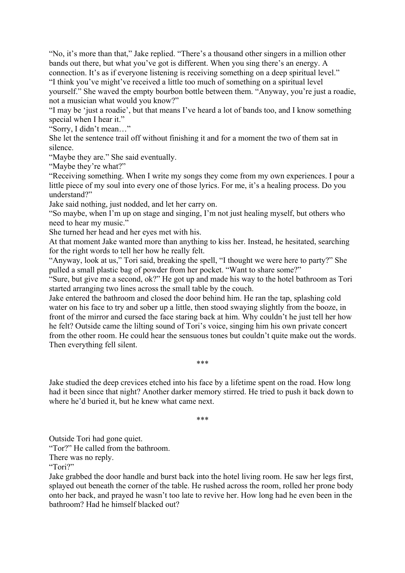"No, it's more than that," Jake replied. "There's a thousand other singers in a million other bands out there, but what you've got is different. When you sing there's an energy. A connection. It's as if everyone listening is receiving something on a deep spiritual level." "I think you've might've received a little too much of something on a spiritual level

yourself." She waved the empty bourbon bottle between them. "Anyway, you're just a roadie, not a musician what would you know?"

"I may be 'just a roadie', but that means I've heard a lot of bands too, and I know something special when I hear it."

"Sorry, I didn't mean…"

She let the sentence trail off without finishing it and for a moment the two of them sat in silence.

"Maybe they are." She said eventually.

"Maybe they're what?"

"Receiving something. When I write my songs they come from my own experiences. I pour a little piece of my soul into every one of those lyrics. For me, it's a healing process. Do you understand?"

Jake said nothing, just nodded, and let her carry on.

"So maybe, when I'm up on stage and singing, I'm not just healing myself, but others who need to hear my music."

She turned her head and her eyes met with his.

At that moment Jake wanted more than anything to kiss her. Instead, he hesitated, searching for the right words to tell her how he really felt.

"Anyway, look at us," Tori said, breaking the spell, "I thought we were here to party?" She pulled a small plastic bag of powder from her pocket. "Want to share some?"

"Sure, but give me a second, ok?" He got up and made his way to the hotel bathroom as Tori started arranging two lines across the small table by the couch.

Jake entered the bathroom and closed the door behind him. He ran the tap, splashing cold water on his face to try and sober up a little, then stood swaying slightly from the booze, in front of the mirror and cursed the face staring back at him. Why couldn't he just tell her how he felt? Outside came the lilting sound of Tori's voice, singing him his own private concert from the other room. He could hear the sensuous tones but couldn't quite make out the words. Then everything fell silent.

## \*\*\*

Jake studied the deep crevices etched into his face by a lifetime spent on the road. How long had it been since that night? Another darker memory stirred. He tried to push it back down to where he'd buried it, but he knew what came next.

\*\*\*

Outside Tori had gone quiet.

"Tor?" He called from the bathroom.

There was no reply.

"Tori?"

Jake grabbed the door handle and burst back into the hotel living room. He saw her legs first, splayed out beneath the corner of the table. He rushed across the room, rolled her prone body onto her back, and prayed he wasn't too late to revive her. How long had he even been in the bathroom? Had he himself blacked out?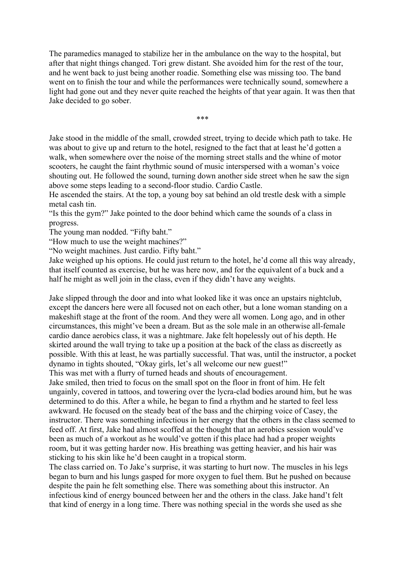The paramedics managed to stabilize her in the ambulance on the way to the hospital, but after that night things changed. Tori grew distant. She avoided him for the rest of the tour, and he went back to just being another roadie. Something else was missing too. The band went on to finish the tour and while the performances were technically sound, somewhere a light had gone out and they never quite reached the heights of that year again. It was then that Jake decided to go sober.

\*\*\*

Jake stood in the middle of the small, crowded street, trying to decide which path to take. He was about to give up and return to the hotel, resigned to the fact that at least he'd gotten a walk, when somewhere over the noise of the morning street stalls and the whine of motor scooters, he caught the faint rhythmic sound of music interspersed with a woman's voice shouting out. He followed the sound, turning down another side street when he saw the sign above some steps leading to a second-floor studio. Cardio Castle.

He ascended the stairs. At the top, a young boy sat behind an old trestle desk with a simple metal cash tin.

"Is this the gym?" Jake pointed to the door behind which came the sounds of a class in progress.

The young man nodded. "Fifty baht."

"How much to use the weight machines?"

"No weight machines. Just cardio. Fifty baht."

Jake weighed up his options. He could just return to the hotel, he'd come all this way already, that itself counted as exercise, but he was here now, and for the equivalent of a buck and a half he might as well join in the class, even if they didn't have any weights.

Jake slipped through the door and into what looked like it was once an upstairs nightclub, except the dancers here were all focused not on each other, but a lone woman standing on a makeshift stage at the front of the room. And they were all women. Long ago, and in other circumstances, this might've been a dream. But as the sole male in an otherwise all-female cardio dance aerobics class, it was a nightmare. Jake felt hopelessly out of his depth. He skirted around the wall trying to take up a position at the back of the class as discreetly as possible. With this at least, he was partially successful. That was, until the instructor, a pocket dynamo in tights shouted, "Okay girls, let's all welcome our new guest!"

This was met with a flurry of turned heads and shouts of encouragement.

Jake smiled, then tried to focus on the small spot on the floor in front of him. He felt ungainly, covered in tattoos, and towering over the lycra-clad bodies around him, but he was determined to do this. After a while, he began to find a rhythm and he started to feel less awkward. He focused on the steady beat of the bass and the chirping voice of Casey, the instructor. There was something infectious in her energy that the others in the class seemed to feed off. At first, Jake had almost scoffed at the thought that an aerobics session would've been as much of a workout as he would've gotten if this place had had a proper weights room, but it was getting harder now. His breathing was getting heavier, and his hair was sticking to his skin like he'd been caught in a tropical storm.

The class carried on. To Jake's surprise, it was starting to hurt now. The muscles in his legs began to burn and his lungs gasped for more oxygen to fuel them. But he pushed on because despite the pain he felt something else. There was something about this instructor. An infectious kind of energy bounced between her and the others in the class. Jake hand't felt that kind of energy in a long time. There was nothing special in the words she used as she